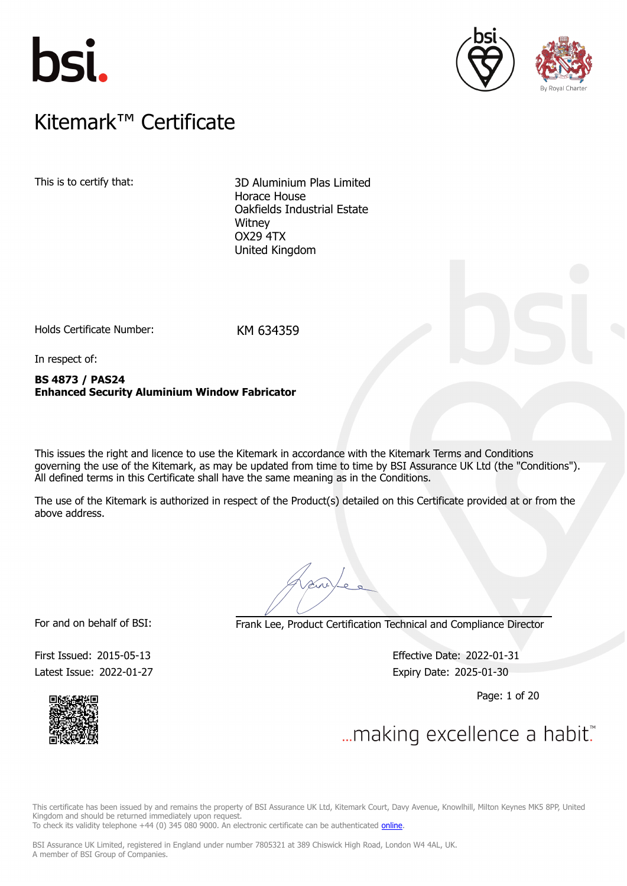





### $K$ itemark $W$  Certificate Kitemark™ Certificate

This is to certify that: 3D Aluminium Plas Limited Horace House Oakfields Industrial Estate **Witney** OX29 4TX United Kingdom

Holds Certificate Number: KM 634359

In respect of:

**BS 4873 / PAS24 Enhanced Security Aluminium Window Fabricator**

This issues the right and licence to use the Kitemark in accordance with the Kitemark Terms and Conditions governing the use of the Kitemark, as may be updated from time to time by BSI Assurance UK Ltd (the "Conditions"). All defined terms in this Certificate shall have the same meaning as in the Conditions.

The use of the Kitemark is authorized in respect of the Product(s) detailed on this Certificate provided at or from the above address.

For and on behalf of BSI: Frank Lee, Product Certification Technical and Compliance Director

Latest Issue: 2022-01-27 Expiry Date: 2025-01-30

First Issued: 2015-05-13 Effective Date: 2022-01-31

Page: 1 of 20



... making excellence a habit."

This certificate has been issued by and remains the property of BSI Assurance UK Ltd, Kitemark Court, Davy Avenue, Knowlhill, Milton Keynes MK5 8PP, United Kingdom and should be returned immediately upon request.

To check its validity telephone +44 (0) 345 080 9000. An electronic certificate can be authenticated *[online](https://pgplus.bsigroup.com/CertificateValidation/CertificateValidator.aspx?CertificateNumber=KM+634359&ReIssueDate=27%2f01%2f2022&Template=uk)*.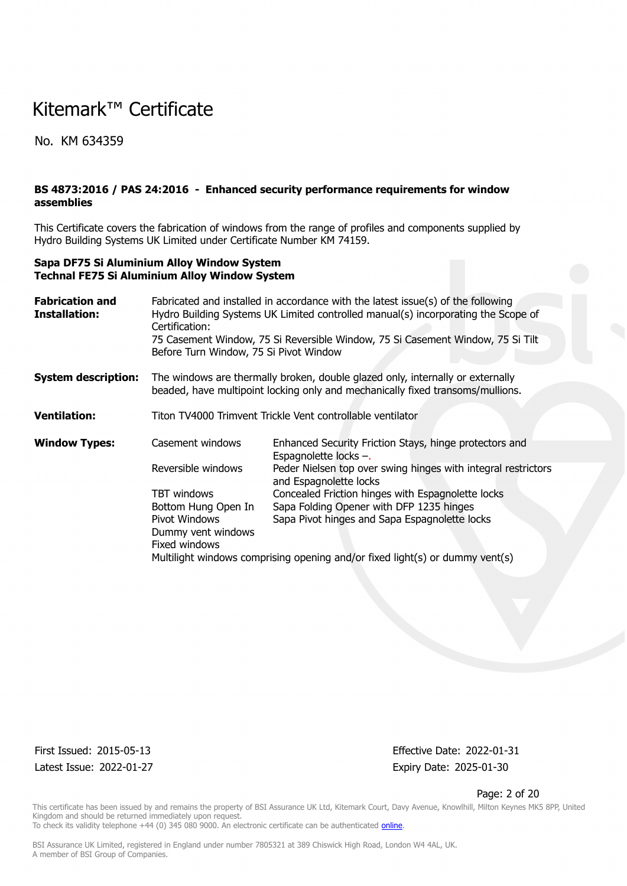No. KM 634359

### **BS 4873:2016 / PAS 24:2016 - Enhanced security performance requirements for window assemblies**

This Certificate covers the fabrication of windows from the range of profiles and components supplied by Hydro Building Systems UK Limited under Certificate Number KM 74159.

#### **Sapa DF75 Si Aluminium Alloy Window System Technal FE75 Si Aluminium Alloy Window System**

| <b>Fabrication and</b><br>Installation: | Fabricated and installed in accordance with the latest issue(s) of the following<br>Hydro Building Systems UK Limited controlled manual(s) incorporating the Scope of |                                                                                                                                                                  |  |  |  |  |  |  |
|-----------------------------------------|-----------------------------------------------------------------------------------------------------------------------------------------------------------------------|------------------------------------------------------------------------------------------------------------------------------------------------------------------|--|--|--|--|--|--|
|                                         | Certification:<br>75 Casement Window, 75 Si Reversible Window, 75 Si Casement Window, 75 Si Tilt<br>Before Turn Window, 75 Si Pivot Window                            |                                                                                                                                                                  |  |  |  |  |  |  |
| <b>System description:</b>              |                                                                                                                                                                       | The windows are thermally broken, double glazed only, internally or externally<br>beaded, have multipoint locking only and mechanically fixed transoms/mullions. |  |  |  |  |  |  |
| <b>Ventilation:</b>                     |                                                                                                                                                                       | Titon TV4000 Trimvent Trickle Vent controllable ventilator                                                                                                       |  |  |  |  |  |  |
| <b>Window Types:</b>                    | Casement windows                                                                                                                                                      | Enhanced Security Friction Stays, hinge protectors and<br>Espagnolette locks -.                                                                                  |  |  |  |  |  |  |
|                                         | Reversible windows                                                                                                                                                    | Peder Nielsen top over swing hinges with integral restrictors<br>and Espagnolette locks                                                                          |  |  |  |  |  |  |
|                                         | TBT windows                                                                                                                                                           | Concealed Friction hinges with Espagnolette locks                                                                                                                |  |  |  |  |  |  |
|                                         | Bottom Hung Open In                                                                                                                                                   | Sapa Folding Opener with DFP 1235 hinges                                                                                                                         |  |  |  |  |  |  |
|                                         | Pivot Windows                                                                                                                                                         | Sapa Pivot hinges and Sapa Espagnolette locks                                                                                                                    |  |  |  |  |  |  |
|                                         | Dummy vent windows                                                                                                                                                    |                                                                                                                                                                  |  |  |  |  |  |  |
|                                         | Fixed windows                                                                                                                                                         |                                                                                                                                                                  |  |  |  |  |  |  |
|                                         | Multilight windows comprising opening and/or fixed light(s) or dummy vent(s)                                                                                          |                                                                                                                                                                  |  |  |  |  |  |  |

Latest Issue: 2022-01-27 Expiry Date: 2025-01-30

First Issued: 2015-05-13 Effective Date: 2022-01-31

#### Page: 2 of 20

This certificate has been issued by and remains the property of BSI Assurance UK Ltd, Kitemark Court, Davy Avenue, Knowlhill, Milton Keynes MK5 8PP, United Kingdom and should be returned immediately upon request. To check its validity telephone +44 (0) 345 080 9000. An electronic certificate can be authenticated *[online](https://pgplus.bsigroup.com/CertificateValidation/CertificateValidator.aspx?CertificateNumber=KM+634359&ReIssueDate=27%2f01%2f2022&Template=uk)*.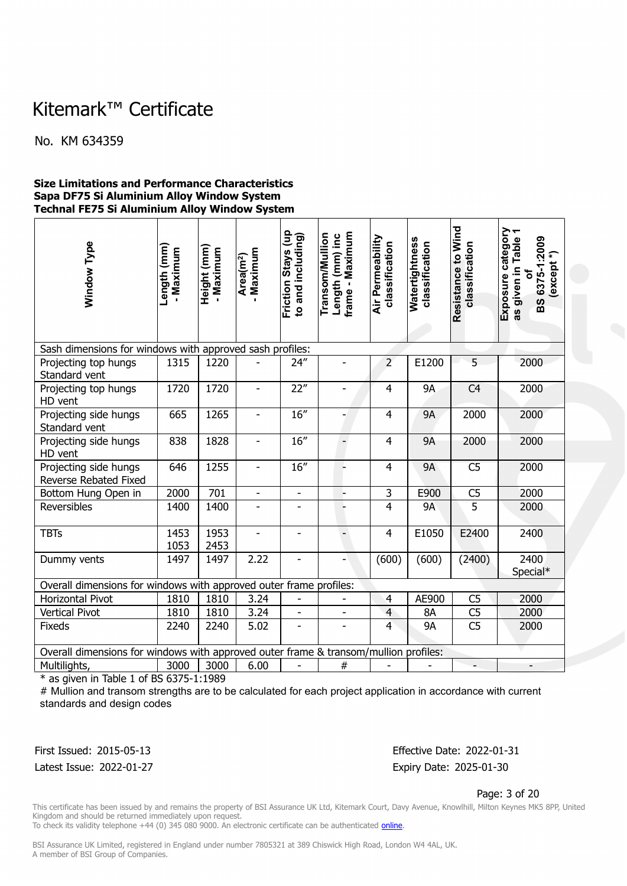No. KM 634359

#### **Size Limitations and Performance Characteristics Sapa DF75 Si Aluminium Alloy Window System Technal FE75 Si Aluminium Alloy Window System**

| Window Type                                                                          | Length (mm)<br>- Maximum | Height (mm)<br>- Maximum | Maximum<br>Area(m <sup>2</sup> ) | Friction Stays (up<br>to and including) | frame - Maximum<br><b>Transom/Mullion</b><br>Length (mm) inc | Air Permeability<br>classification | Watertightness<br>classification | Resistance to Wind<br>classification | Exposure category<br>The criven in Table 1<br>as given in Table<br>BS 6375-1:2009<br>$\widehat{\cdot}$<br>(except<br>৳ |
|--------------------------------------------------------------------------------------|--------------------------|--------------------------|----------------------------------|-----------------------------------------|--------------------------------------------------------------|------------------------------------|----------------------------------|--------------------------------------|------------------------------------------------------------------------------------------------------------------------|
| Sash dimensions for windows with approved sash profiles:                             |                          |                          |                                  |                                         |                                                              |                                    |                                  |                                      |                                                                                                                        |
| Projecting top hungs<br>Standard vent                                                | 1315                     | 1220                     |                                  | 24''                                    |                                                              | $\overline{2}$                     | E1200                            | 5                                    | 2000                                                                                                                   |
| Projecting top hungs<br>HD vent                                                      | 1720                     | 1720                     |                                  | 22"                                     |                                                              | $\overline{4}$                     | <b>9A</b>                        | C <sub>4</sub>                       | 2000                                                                                                                   |
| Projecting side hungs<br>Standard vent                                               | 665                      | 1265                     | $\overline{\phantom{m}}$         | 16''                                    |                                                              | $\overline{4}$                     | <b>9A</b>                        | 2000                                 | 2000                                                                                                                   |
| Projecting side hungs<br>HD vent                                                     | 838                      | 1828                     | $\qquad \qquad \blacksquare$     | 16''                                    | $\overline{\phantom{0}}$                                     | $\overline{4}$                     | <b>9A</b>                        | 2000                                 | 2000                                                                                                                   |
| Projecting side hungs<br>Reverse Rebated Fixed                                       | 646                      | 1255                     | ÷,                               | 16''                                    |                                                              | $\overline{4}$                     | <b>9A</b>                        | C <sub>5</sub>                       | 2000                                                                                                                   |
| Bottom Hung Open in                                                                  | 2000                     | 701                      | $\overline{a}$                   | $\overline{a}$                          |                                                              | $\overline{\mathbf{3}}$            | E900                             | C <sub>5</sub>                       | 2000                                                                                                                   |
| Reversibles                                                                          | 1400                     | 1400                     | $\overline{\phantom{0}}$         | ÷                                       |                                                              | $\overline{4}$                     | <b>9A</b>                        | $\overline{5}$                       | 2000                                                                                                                   |
| <b>TBTs</b>                                                                          | 1453<br>1053             | 1953<br>2453             | ÷,                               | ÷,                                      | $\overline{\phantom{0}}$                                     | 4                                  | E1050                            | E2400                                | 2400                                                                                                                   |
| Dummy vents                                                                          | 1497                     | 1497                     | 2.22                             |                                         |                                                              | (600)                              | (600)                            | (2400)                               | 2400<br>Special*                                                                                                       |
| Overall dimensions for windows with approved outer frame profiles:                   |                          |                          |                                  |                                         |                                                              |                                    |                                  |                                      |                                                                                                                        |
| <b>Horizontal Pivot</b>                                                              | 1810                     | 1810                     | 3.24                             | $\overline{a}$                          |                                                              | $\overline{4}$                     | AE900                            | C <sub>5</sub>                       | 2000                                                                                                                   |
| <b>Vertical Pivot</b>                                                                | 1810                     | 1810                     | 3.24                             | $\overline{a}$                          |                                                              | 4                                  | 8A                               | C <sub>5</sub>                       | 2000                                                                                                                   |
| Fixeds                                                                               | 2240                     | 2240                     | 5.02                             |                                         |                                                              | $\overline{4}$                     | <b>9A</b>                        | C <sub>5</sub>                       | 2000                                                                                                                   |
| Overall dimensions for windows with approved outer frame & transom/mullion profiles: |                          |                          |                                  |                                         |                                                              |                                    |                                  |                                      |                                                                                                                        |
| Multilights,                                                                         | 3000                     | 3000                     | 6.00                             |                                         | $\#$                                                         |                                    |                                  |                                      |                                                                                                                        |

 $*$  as given in Table 1 of BS 6375-1:1989

# Mullion and transom strengths are to be calculated for each project application in accordance with current standards and design codes

First Issued: 2015-05-13 Effective Date: 2022-01-31 Latest Issue: 2022-01-27 Expiry Date: 2025-01-30

Page: 3 of 20

This certificate has been issued by and remains the property of BSI Assurance UK Ltd, Kitemark Court, Davy Avenue, Knowlhill, Milton Keynes MK5 8PP, United Kingdom and should be returned immediately upon request.

To check its validity telephone +44 (0) 345 080 9000. An electronic certificate can be authenticated *[online](https://pgplus.bsigroup.com/CertificateValidation/CertificateValidator.aspx?CertificateNumber=KM+634359&ReIssueDate=27%2f01%2f2022&Template=uk)*.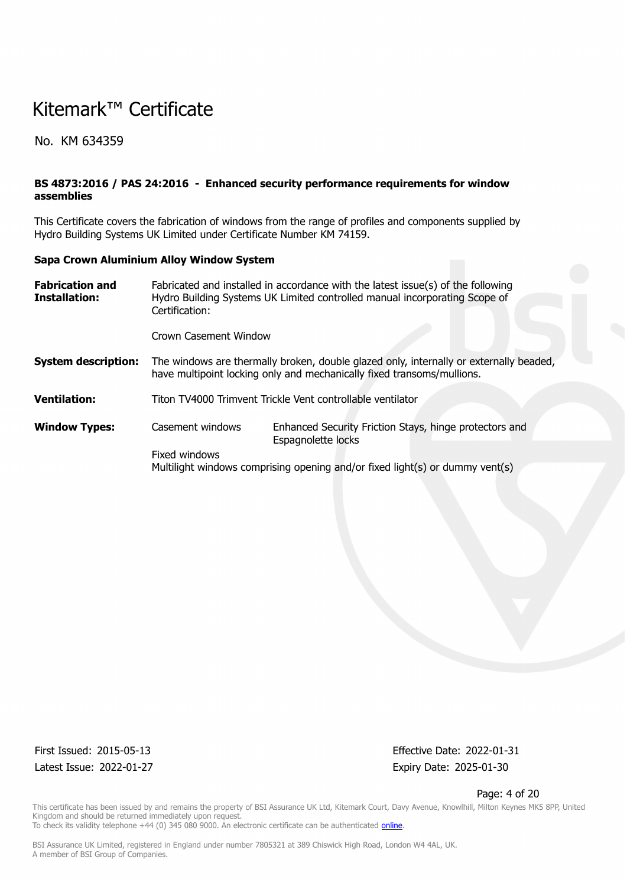No. KM 634359

### **BS 4873:2016 / PAS 24:2016 - Enhanced security performance requirements for window assemblies**

This Certificate covers the fabrication of windows from the range of profiles and components supplied by Hydro Building Systems UK Limited under Certificate Number KM 74159.

#### **Sapa Crown Aluminium Alloy Window System**

| <b>Fabrication and</b><br>Installation: | Fabricated and installed in accordance with the latest issue(s) of the following<br>Hydro Building Systems UK Limited controlled manual incorporating Scope of |                                                                                                                                                                  |  |  |  |  |  |  |  |
|-----------------------------------------|----------------------------------------------------------------------------------------------------------------------------------------------------------------|------------------------------------------------------------------------------------------------------------------------------------------------------------------|--|--|--|--|--|--|--|
|                                         | Certification:                                                                                                                                                 |                                                                                                                                                                  |  |  |  |  |  |  |  |
|                                         | Crown Casement Window                                                                                                                                          |                                                                                                                                                                  |  |  |  |  |  |  |  |
| <b>System description:</b>              |                                                                                                                                                                | The windows are thermally broken, double glazed only, internally or externally beaded,<br>have multipoint locking only and mechanically fixed transoms/mullions. |  |  |  |  |  |  |  |
| Ventilation:                            |                                                                                                                                                                | Titon TV4000 Trimvent Trickle Vent controllable ventilator                                                                                                       |  |  |  |  |  |  |  |
| <b>Window Types:</b>                    | Casement windows                                                                                                                                               | Enhanced Security Friction Stays, hinge protectors and<br>Espagnolette locks                                                                                     |  |  |  |  |  |  |  |
|                                         | Fixed windows                                                                                                                                                  |                                                                                                                                                                  |  |  |  |  |  |  |  |
|                                         | Multilight windows comprising opening and/or fixed light(s) or dummy vent(s)                                                                                   |                                                                                                                                                                  |  |  |  |  |  |  |  |

Latest Issue: 2022-01-27 Expiry Date: 2025-01-30

First Issued: 2015-05-13 Effective Date: 2022-01-31

#### Page: 4 of 20

This certificate has been issued by and remains the property of BSI Assurance UK Ltd, Kitemark Court, Davy Avenue, Knowlhill, Milton Keynes MK5 8PP, United Kingdom and should be returned immediately upon request. To check its validity telephone +44 (0) 345 080 9000. An electronic certificate can be authenticated *[online](https://pgplus.bsigroup.com/CertificateValidation/CertificateValidator.aspx?CertificateNumber=KM+634359&ReIssueDate=27%2f01%2f2022&Template=uk)*.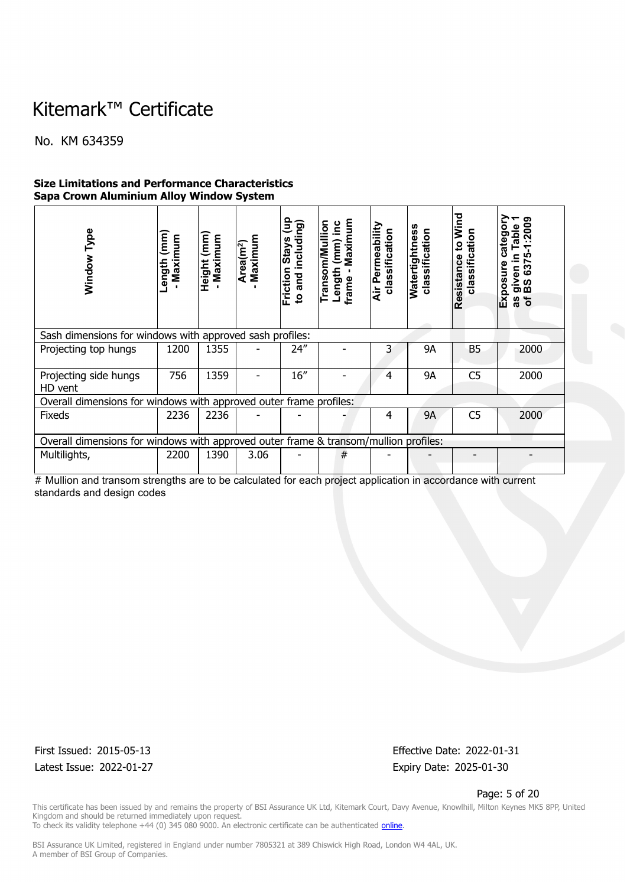No. KM 634359

### **Size Limitations and Performance Characteristics Sapa Crown Aluminium Alloy Window System**

| Type<br>Window                                                                       | Length (mm<br>Maximum | (mm)<br>Maximum<br><b>Height</b> | Maximum<br>Area(m <sup>2</sup> ) | ਰਿ<br>to and including)<br>Friction Stays | Maximum<br>Transom/Mullion<br>$(mm)$ inc<br>Length<br>frame | Air Permeability<br>classification | Watertightness<br>classification | Wind<br>classification<br>$\mathbf{c}$<br>Resistance | category<br>1:2009<br><b>Table</b><br><b>LO</b><br>≘.<br>637<br>Exposure<br>given<br>BS 63<br>৳<br>8g |
|--------------------------------------------------------------------------------------|-----------------------|----------------------------------|----------------------------------|-------------------------------------------|-------------------------------------------------------------|------------------------------------|----------------------------------|------------------------------------------------------|-------------------------------------------------------------------------------------------------------|
| Sash dimensions for windows with approved sash profiles:                             |                       |                                  |                                  |                                           |                                                             |                                    |                                  |                                                      |                                                                                                       |
| Projecting top hungs                                                                 | 1200                  | 1355                             |                                  | 24"                                       |                                                             | 3                                  | 9Α                               | <b>B5</b>                                            | 2000                                                                                                  |
| Projecting side hungs<br>HD vent                                                     | 756                   | 1359                             |                                  | 16''                                      |                                                             | 4                                  | <b>9A</b>                        | C <sub>5</sub>                                       | 2000                                                                                                  |
| Overall dimensions for windows with approved outer frame profiles:                   |                       |                                  |                                  |                                           |                                                             |                                    |                                  |                                                      |                                                                                                       |
| <b>Fixeds</b>                                                                        | 2236                  | 2236                             |                                  |                                           |                                                             | 4                                  | <b>9A</b>                        | C <sub>5</sub>                                       | 2000                                                                                                  |
| Overall dimensions for windows with approved outer frame & transom/mullion profiles: |                       |                                  |                                  |                                           |                                                             |                                    |                                  |                                                      |                                                                                                       |
| Multilights,                                                                         | 2200                  | 1390                             | 3.06                             |                                           | #                                                           |                                    |                                  |                                                      |                                                                                                       |

# Mullion and transom strengths are to be calculated for each project application in accordance with current standards and design codes

Latest Issue: 2022-01-27 Expiry Date: 2025-01-30

First Issued: 2015-05-13 Effective Date: 2022-01-31

#### Page: 5 of 20

This certificate has been issued by and remains the property of BSI Assurance UK Ltd, Kitemark Court, Davy Avenue, Knowlhill, Milton Keynes MK5 8PP, United Kingdom and should be returned immediately upon request. To check its validity telephone +44 (0) 345 080 9000. An electronic certificate can be authenticated *[online](https://pgplus.bsigroup.com/CertificateValidation/CertificateValidator.aspx?CertificateNumber=KM+634359&ReIssueDate=27%2f01%2f2022&Template=uk)*.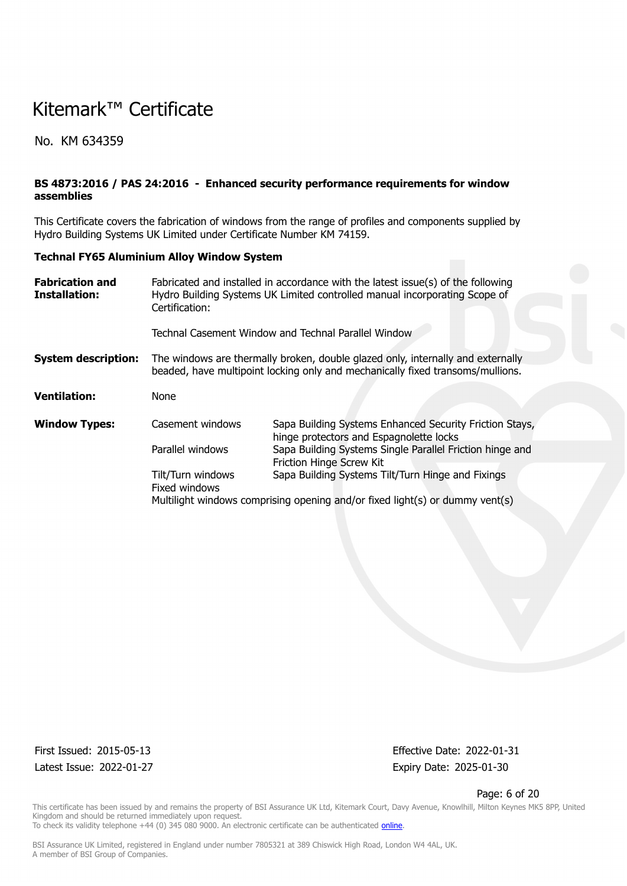No. KM 634359

### **BS 4873:2016 / PAS 24:2016 - Enhanced security performance requirements for window assemblies**

This Certificate covers the fabrication of windows from the range of profiles and components supplied by Hydro Building Systems UK Limited under Certificate Number KM 74159.

#### **Technal FY65 Aluminium Alloy Window System**

| <b>Fabrication and</b><br>Installation: | Certification:                                                                                 | Fabricated and installed in accordance with the latest issue(s) of the following<br>Hydro Building Systems UK Limited controlled manual incorporating Scope of |  |  |  |  |  |  |  |
|-----------------------------------------|------------------------------------------------------------------------------------------------|----------------------------------------------------------------------------------------------------------------------------------------------------------------|--|--|--|--|--|--|--|
|                                         | Technal Casement Window and Technal Parallel Window                                            |                                                                                                                                                                |  |  |  |  |  |  |  |
| <b>System description:</b>              |                                                                                                | The windows are thermally broken, double glazed only, internally and externally                                                                                |  |  |  |  |  |  |  |
|                                         |                                                                                                | beaded, have multipoint locking only and mechanically fixed transoms/mullions.                                                                                 |  |  |  |  |  |  |  |
| <b>Ventilation:</b>                     | None                                                                                           |                                                                                                                                                                |  |  |  |  |  |  |  |
| <b>Window Types:</b>                    | Casement windows                                                                               | Sapa Building Systems Enhanced Security Friction Stays,<br>hinge protectors and Espagnolette locks                                                             |  |  |  |  |  |  |  |
|                                         | Parallel windows                                                                               | Sapa Building Systems Single Parallel Friction hinge and<br>Friction Hinge Screw Kit                                                                           |  |  |  |  |  |  |  |
|                                         | Tilt/Turn windows<br>Sapa Building Systems Tilt/Turn Hinge and Fixings<br><b>Fixed windows</b> |                                                                                                                                                                |  |  |  |  |  |  |  |
|                                         |                                                                                                | Multilight windows comprising opening and/or fixed light(s) or dummy vent(s)                                                                                   |  |  |  |  |  |  |  |

Latest Issue: 2022-01-27 Expiry Date: 2025-01-30

First Issued: 2015-05-13 Effective Date: 2022-01-31

#### Page: 6 of 20

This certificate has been issued by and remains the property of BSI Assurance UK Ltd, Kitemark Court, Davy Avenue, Knowlhill, Milton Keynes MK5 8PP, United Kingdom and should be returned immediately upon request. To check its validity telephone +44 (0) 345 080 9000. An electronic certificate can be authenticated *[online](https://pgplus.bsigroup.com/CertificateValidation/CertificateValidator.aspx?CertificateNumber=KM+634359&ReIssueDate=27%2f01%2f2022&Template=uk)*.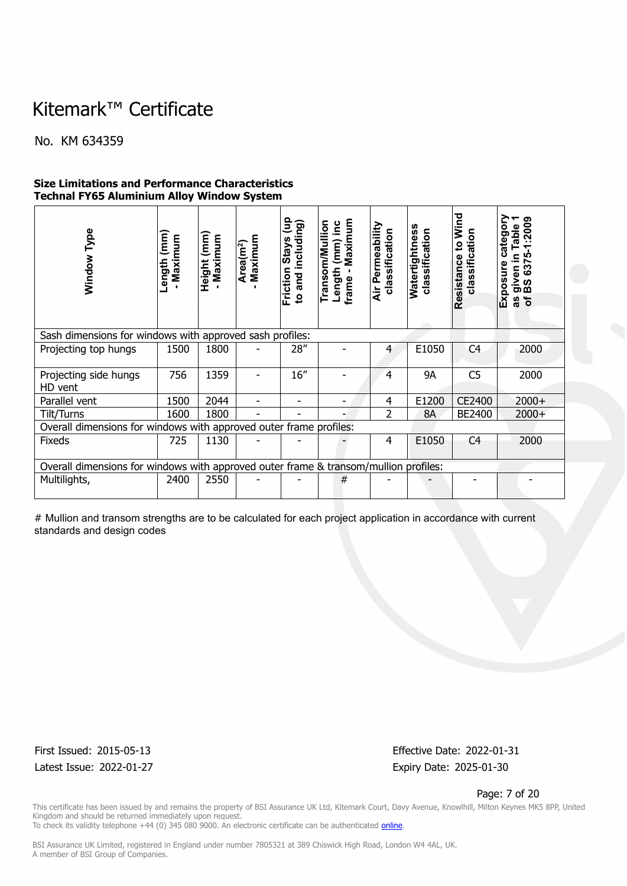No. KM 634359

### **Size Limitations and Performance Characteristics Technal FY65 Aluminium Alloy Window System**

| Window Type<br>Sash dimensions for windows with approved sash profiles:              | Length (mm)<br>Maximum | Height (mm)<br>Maximum | Maximum<br>Area(m <sup>2</sup> ) | $\mathbf{g}$<br>to and including)<br><b>Friction Stays</b> | Maximum<br>Transom/Mullion<br>$(mm)$ inc<br>Length<br>frame - I | Air Permeability<br>classification | <b>Natertightness</b><br>classification | Wind<br>classification<br>$\overline{5}$<br>Resistance | category<br>$-1:2009$<br>Table<br>LO <sub>1</sub><br>≘<br>22<br>Exposure<br>given<br>BS 63:<br>ិ៍<br>SB |
|--------------------------------------------------------------------------------------|------------------------|------------------------|----------------------------------|------------------------------------------------------------|-----------------------------------------------------------------|------------------------------------|-----------------------------------------|--------------------------------------------------------|---------------------------------------------------------------------------------------------------------|
| Projecting top hungs                                                                 | 1500                   | 1800                   |                                  | 28"                                                        |                                                                 | 4                                  | E1050                                   | C <sub>4</sub>                                         | 2000                                                                                                    |
|                                                                                      |                        |                        |                                  |                                                            |                                                                 |                                    |                                         |                                                        |                                                                                                         |
| Projecting side hungs<br>HD vent                                                     | 756                    | 1359                   |                                  | 16''                                                       |                                                                 | 4                                  | <b>9A</b>                               | C <sub>5</sub>                                         | 2000                                                                                                    |
| Parallel vent                                                                        | 1500                   | 2044                   |                                  | -                                                          |                                                                 | 4                                  | E1200                                   | CE2400                                                 | $2000+$                                                                                                 |
| Tilt/Turns                                                                           | 1600                   | 1800                   |                                  |                                                            |                                                                 | 2                                  | <b>8A</b>                               | BE2400                                                 | $2000+$                                                                                                 |
| Overall dimensions for windows with approved outer frame profiles:                   |                        |                        |                                  |                                                            |                                                                 |                                    |                                         |                                                        |                                                                                                         |
| <b>Fixeds</b>                                                                        | 725                    | 1130                   |                                  |                                                            |                                                                 | 4                                  | E1050                                   | C <sub>4</sub>                                         | 2000                                                                                                    |
| Overall dimensions for windows with approved outer frame & transom/mullion profiles: |                        |                        |                                  |                                                            |                                                                 |                                    |                                         |                                                        |                                                                                                         |
| Multilights,                                                                         | 2400                   | 2550                   |                                  |                                                            | #                                                               |                                    |                                         |                                                        |                                                                                                         |
|                                                                                      |                        |                        |                                  |                                                            |                                                                 |                                    |                                         |                                                        |                                                                                                         |

# Mullion and transom strengths are to be calculated for each project application in accordance with current standards and design codes

Latest Issue: 2022-01-27 Expiry Date: 2025-01-30

First Issued: 2015-05-13 Effective Date: 2022-01-31

Page: 7 of 20

This certificate has been issued by and remains the property of BSI Assurance UK Ltd, Kitemark Court, Davy Avenue, Knowlhill, Milton Keynes MK5 8PP, United Kingdom and should be returned immediately upon request. To check its validity telephone +44 (0) 345 080 9000. An electronic certificate can be authenticated *[online](https://pgplus.bsigroup.com/CertificateValidation/CertificateValidator.aspx?CertificateNumber=KM+634359&ReIssueDate=27%2f01%2f2022&Template=uk)*.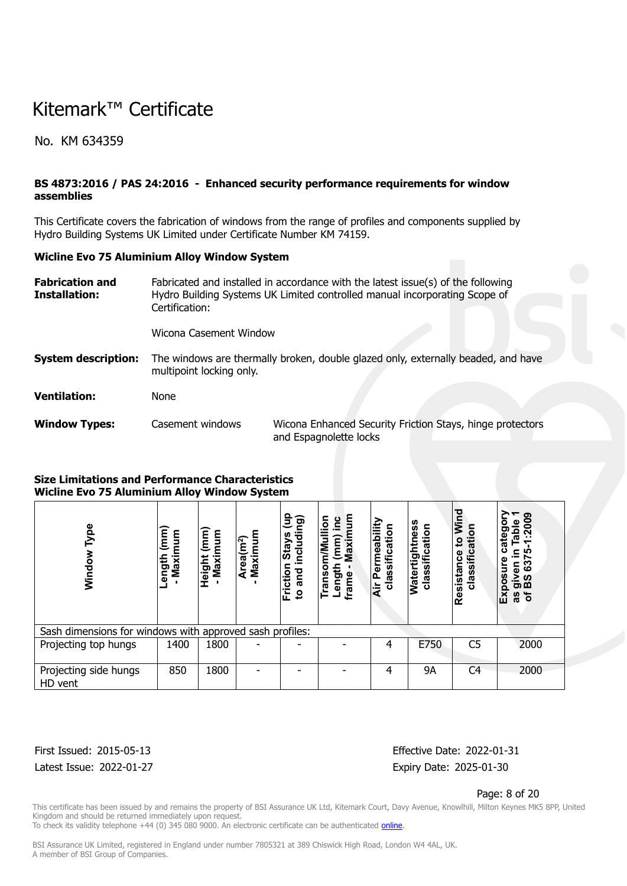No. KM 634359

### **BS 4873:2016 / PAS 24:2016 - Enhanced security performance requirements for window assemblies**

This Certificate covers the fabrication of windows from the range of profiles and components supplied by Hydro Building Systems UK Limited under Certificate Number KM 74159.

#### **Wicline Evo 75 Aluminium Alloy Window System**

| <b>Fabrication and</b><br>Installation: | Fabricated and installed in accordance with the latest issue(s) of the following<br>Hydro Building Systems UK Limited controlled manual incorporating Scope of<br>Certification: |                                                                                     |  |  |  |  |  |  |
|-----------------------------------------|----------------------------------------------------------------------------------------------------------------------------------------------------------------------------------|-------------------------------------------------------------------------------------|--|--|--|--|--|--|
|                                         | Wicona Casement Window                                                                                                                                                           |                                                                                     |  |  |  |  |  |  |
| <b>System description:</b>              | The windows are thermally broken, double glazed only, externally beaded, and have<br>multipoint locking only.                                                                    |                                                                                     |  |  |  |  |  |  |
| <b>Ventilation:</b>                     | None                                                                                                                                                                             |                                                                                     |  |  |  |  |  |  |
| <b>Window Types:</b>                    | Casement windows                                                                                                                                                                 | Wicona Enhanced Security Friction Stays, hinge protectors<br>and Espagnolette locks |  |  |  |  |  |  |

#### **Size Limitations and Performance Characteristics Wicline Evo 75 Aluminium Alloy Window System**

| Type<br>Window                                           | $\binom{m}{m}$<br>Maximum<br>Length | $\mathbf{m}$<br>Maximum<br>Height | Maximum<br>Area(m <sup>2</sup> ) | ∘<br>ncluding)<br>Ξ<br><b>Stays</b><br>Friction<br>and<br>$\mathbf{S}$ | Maximum<br>$\overline{5}$<br>oui<br>(mm)<br>m/Mul<br>Length<br>۰<br><b>Trans</b><br>frame | ermeability<br>sification<br>clas<br>$\mathbf{\Omega}$<br>άř | Watertightness<br>classification | Wind<br>classification<br>$\overline{c}$<br>Resistance | ၜ<br>: 200<br>Table<br>o<br>ateg<br>ပ<br>ທ<br>≘.<br>637<br>posure<br>iven<br>ഗ<br>$\overline{\sigma}$ m<br>ΙÑ<br>$\mathbf{b}$<br>8g |
|----------------------------------------------------------|-------------------------------------|-----------------------------------|----------------------------------|------------------------------------------------------------------------|-------------------------------------------------------------------------------------------|--------------------------------------------------------------|----------------------------------|--------------------------------------------------------|-------------------------------------------------------------------------------------------------------------------------------------|
| Sash dimensions for windows with approved sash profiles: |                                     |                                   |                                  |                                                                        |                                                                                           |                                                              |                                  |                                                        |                                                                                                                                     |
| Projecting top hungs                                     | 1400                                | 1800                              |                                  |                                                                        |                                                                                           | 4                                                            | E750                             | C <sub>5</sub>                                         | 2000                                                                                                                                |
| Projecting side hungs<br>HD vent                         | 850                                 | 1800                              |                                  |                                                                        |                                                                                           | 4                                                            | <b>9A</b>                        | C <sub>4</sub>                                         | 2000                                                                                                                                |

Latest Issue: 2022-01-27 Expiry Date: 2025-01-30

First Issued: 2015-05-13 Effective Date: 2022-01-31

#### Page: 8 of 20

This certificate has been issued by and remains the property of BSI Assurance UK Ltd, Kitemark Court, Davy Avenue, Knowlhill, Milton Keynes MK5 8PP, United Kingdom and should be returned immediately upon request.

To check its validity telephone +44 (0) 345 080 9000. An electronic certificate can be authenticated *[online](https://pgplus.bsigroup.com/CertificateValidation/CertificateValidator.aspx?CertificateNumber=KM+634359&ReIssueDate=27%2f01%2f2022&Template=uk)*.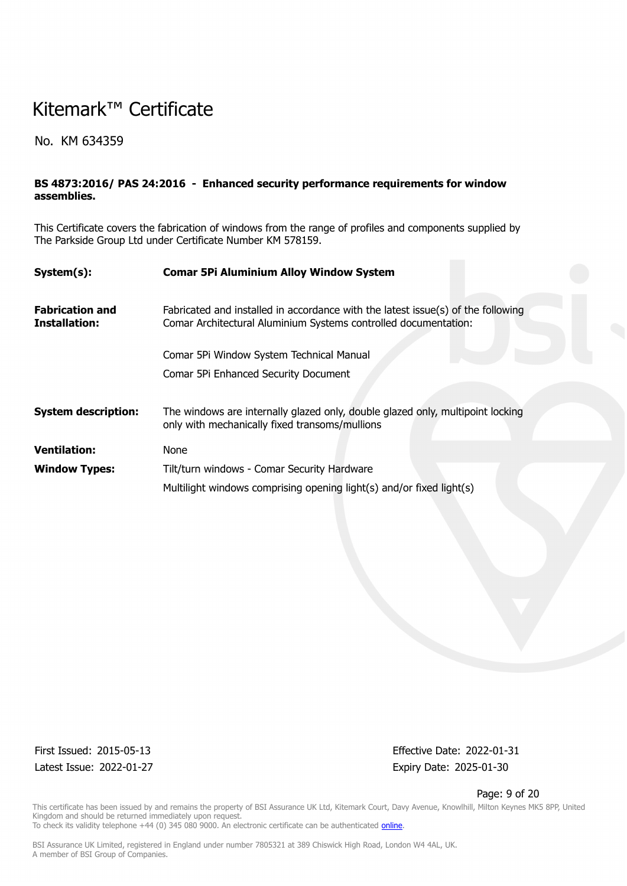No. KM 634359

### **BS 4873:2016/ PAS 24:2016 - Enhanced security performance requirements for window assemblies.**

This Certificate covers the fabrication of windows from the range of profiles and components supplied by The Parkside Group Ltd under Certificate Number KM 578159.

| System(s):                              | <b>Comar 5Pi Aluminium Alloy Window System</b>                                                                                                      |
|-----------------------------------------|-----------------------------------------------------------------------------------------------------------------------------------------------------|
| <b>Fabrication and</b><br>Installation: | Fabricated and installed in accordance with the latest issue(s) of the following<br>Comar Architectural Aluminium Systems controlled documentation: |
|                                         | Comar 5Pi Window System Technical Manual                                                                                                            |
|                                         | Comar 5Pi Enhanced Security Document                                                                                                                |
| <b>System description:</b>              | The windows are internally glazed only, double glazed only, multipoint locking<br>only with mechanically fixed transoms/mullions                    |
| <b>Ventilation:</b>                     | None                                                                                                                                                |
| <b>Window Types:</b>                    | Tilt/turn windows - Comar Security Hardware                                                                                                         |
|                                         | Multilight windows comprising opening light(s) and/or fixed light(s)                                                                                |

Latest Issue: 2022-01-27 Expiry Date: 2025-01-30

First Issued: 2015-05-13 Effective Date: 2022-01-31

#### Page: 9 of 20

This certificate has been issued by and remains the property of BSI Assurance UK Ltd, Kitemark Court, Davy Avenue, Knowlhill, Milton Keynes MK5 8PP, United Kingdom and should be returned immediately upon request. To check its validity telephone +44 (0) 345 080 9000. An electronic certificate can be authenticated *[online](https://pgplus.bsigroup.com/CertificateValidation/CertificateValidator.aspx?CertificateNumber=KM+634359&ReIssueDate=27%2f01%2f2022&Template=uk)*.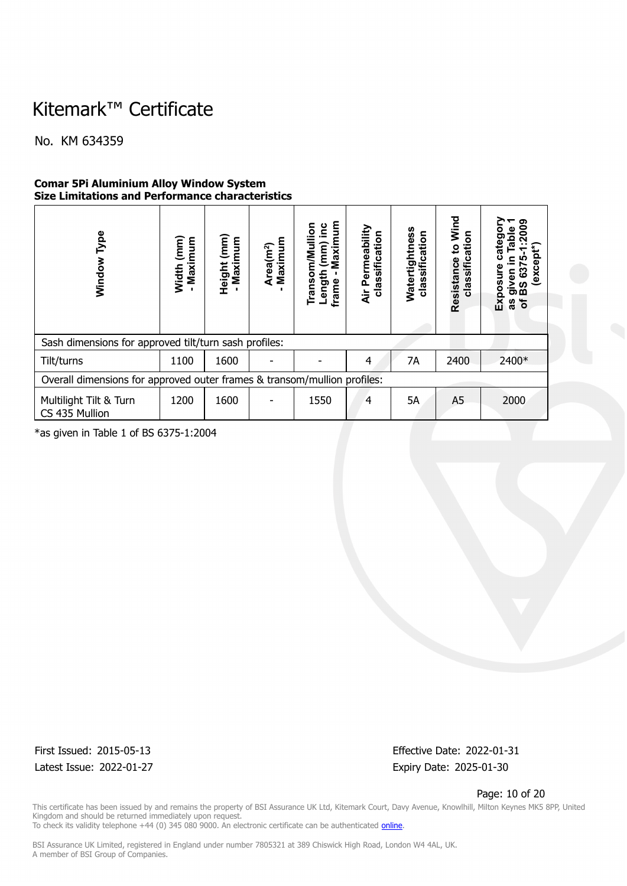No. KM 634359

### **Comar 5Pi Aluminium Alloy Window System Size Limitations and Performance characteristics**

| Type<br>Window                                                           | $\binom{m}{k}$<br>Maximum<br>Width | Height (mm)<br>Maximum | Maximum<br>Area(m <sup>2</sup> ) | Maximum<br><b>Transom/Mullion</b><br><u>ي</u><br>⊇.<br>$\overline{\mathsf{m}}$<br>Length<br>frame | Permeability<br>classification<br>Äir | Watertightness<br>classification | 뎓<br>ξ<br>classification<br>$\overline{\mathbf{c}}$<br>Resistance | ၜ<br>$\overline{200}$<br>able<br>catego<br>(excep<br>Exposure<br>င္မွာ<br>given<br>BS 63<br>৳<br>S |  |
|--------------------------------------------------------------------------|------------------------------------|------------------------|----------------------------------|---------------------------------------------------------------------------------------------------|---------------------------------------|----------------------------------|-------------------------------------------------------------------|----------------------------------------------------------------------------------------------------|--|
| Sash dimensions for approved tilt/turn sash profiles:                    |                                    |                        |                                  |                                                                                                   |                                       |                                  |                                                                   |                                                                                                    |  |
| Tilt/turns                                                               | 1100                               | 1600                   |                                  |                                                                                                   | 4                                     | 7A                               | 2400                                                              | 2400*                                                                                              |  |
| Overall dimensions for approved outer frames & transom/mullion profiles: |                                    |                        |                                  |                                                                                                   |                                       |                                  |                                                                   |                                                                                                    |  |
| Multilight Tilt & Turn<br>CS 435 Mullion                                 | 1200                               | 1600                   |                                  | 1550                                                                                              | $\overline{4}$                        | 5A                               | A <sub>5</sub>                                                    | 2000                                                                                               |  |

\*as given in Table 1 of BS 6375-1:2004

Latest Issue: 2022-01-27 Expiry Date: 2025-01-30

First Issued: 2015-05-13 Effective Date: 2022-01-31

Page: 10 of 20

This certificate has been issued by and remains the property of BSI Assurance UK Ltd, Kitemark Court, Davy Avenue, Knowlhill, Milton Keynes MK5 8PP, United Kingdom and should be returned immediately upon request. To check its validity telephone +44 (0) 345 080 9000. An electronic certificate can be authenticated *[online](https://pgplus.bsigroup.com/CertificateValidation/CertificateValidator.aspx?CertificateNumber=KM+634359&ReIssueDate=27%2f01%2f2022&Template=uk)*.

BSI Assurance UK Limited, registered in England under number 7805321 at 389 Chiswick High Road, London W4 4AL, UK.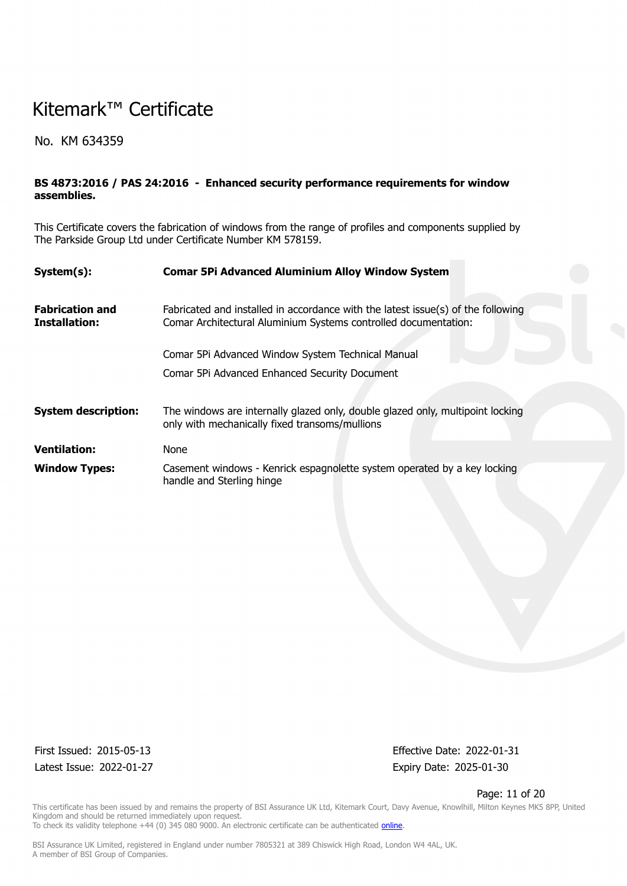No. KM 634359

### **BS 4873:2016 / PAS 24:2016 - Enhanced security performance requirements for window assemblies.**

This Certificate covers the fabrication of windows from the range of profiles and components supplied by The Parkside Group Ltd under Certificate Number KM 578159.

| System(s):                                     | <b>Comar 5Pi Advanced Aluminium Alloy Window System</b>                                                                                             |
|------------------------------------------------|-----------------------------------------------------------------------------------------------------------------------------------------------------|
| <b>Fabrication and</b><br><b>Installation:</b> | Fabricated and installed in accordance with the latest issue(s) of the following<br>Comar Architectural Aluminium Systems controlled documentation: |
|                                                | Comar 5Pi Advanced Window System Technical Manual                                                                                                   |
|                                                | Comar 5Pi Advanced Enhanced Security Document                                                                                                       |
| <b>System description:</b>                     | The windows are internally glazed only, double glazed only, multipoint locking<br>only with mechanically fixed transoms/mullions                    |
| <b>Ventilation:</b>                            | None                                                                                                                                                |
| <b>Window Types:</b>                           | Casement windows - Kenrick espagnolette system operated by a key locking<br>handle and Sterling hinge                                               |

Latest Issue: 2022-01-27 Expiry Date: 2025-01-30

First Issued: 2015-05-13 Effective Date: 2022-01-31

#### Page: 11 of 20

This certificate has been issued by and remains the property of BSI Assurance UK Ltd, Kitemark Court, Davy Avenue, Knowlhill, Milton Keynes MK5 8PP, United Kingdom and should be returned immediately upon request.

To check its validity telephone +44 (0) 345 080 9000. An electronic certificate can be authenticated *[online](https://pgplus.bsigroup.com/CertificateValidation/CertificateValidator.aspx?CertificateNumber=KM+634359&ReIssueDate=27%2f01%2f2022&Template=uk)*.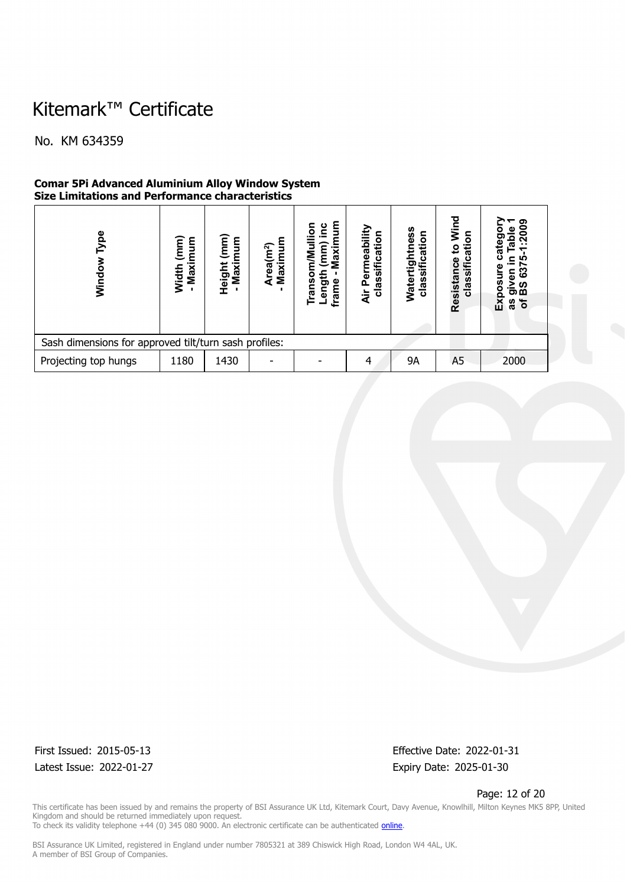No. KM 634359

### **Comar 5Pi Advanced Aluminium Alloy Window System Size Limitations and Performance characteristics**

| ype<br>Windo                                          | $\mathbf{m}\mathbf{m}$<br>Maximum<br>Width | $\mathbf{m}$<br>ξ<br>Height<br>Maxi | Maximum<br>Area(m <sup>2</sup> ) | mum<br>ءِ<br>등<br>(mm)<br>Maxin<br>ransom/Mu<br>Length<br>frame | classificatio<br>meabil<br>ē<br>A<br>$\frac{1}{4}$ | ഗ<br>⊂<br>Ŵ,<br>۰<br>ω<br>ᢐ<br>σ<br>U)<br>Water<br>clas | Wind<br>ation<br>$\overline{\mathbf{c}}$<br>classific<br>Resistance | ດາ<br>នី<br>$\circ$<br>œ<br>ო<br>ဖ<br>Φ<br><b>S</b><br>m<br>ΕX<br>৳<br>æ |  |
|-------------------------------------------------------|--------------------------------------------|-------------------------------------|----------------------------------|-----------------------------------------------------------------|----------------------------------------------------|---------------------------------------------------------|---------------------------------------------------------------------|--------------------------------------------------------------------------|--|
| Sash dimensions for approved tilt/turn sash profiles: |                                            |                                     |                                  |                                                                 |                                                    |                                                         |                                                                     |                                                                          |  |
| Projecting top hungs                                  | 1180                                       | 1430                                |                                  |                                                                 | 4                                                  | <b>9A</b>                                               | A <sub>5</sub>                                                      | 2000                                                                     |  |

Latest Issue: 2022-01-27 Expiry Date: 2025-01-30

First Issued: 2015-05-13 Effective Date: 2022-01-31

Page: 12 of 20

This certificate has been issued by and remains the property of BSI Assurance UK Ltd, Kitemark Court, Davy Avenue, Knowlhill, Milton Keynes MK5 8PP, United Kingdom and should be returned immediately upon request. To check its validity telephone +44 (0) 345 080 9000. An electronic certificate can be authenticated *[online](https://pgplus.bsigroup.com/CertificateValidation/CertificateValidator.aspx?CertificateNumber=KM+634359&ReIssueDate=27%2f01%2f2022&Template=uk)*.

BSI Assurance UK Limited, registered in England under number 7805321 at 389 Chiswick High Road, London W4 4AL, UK.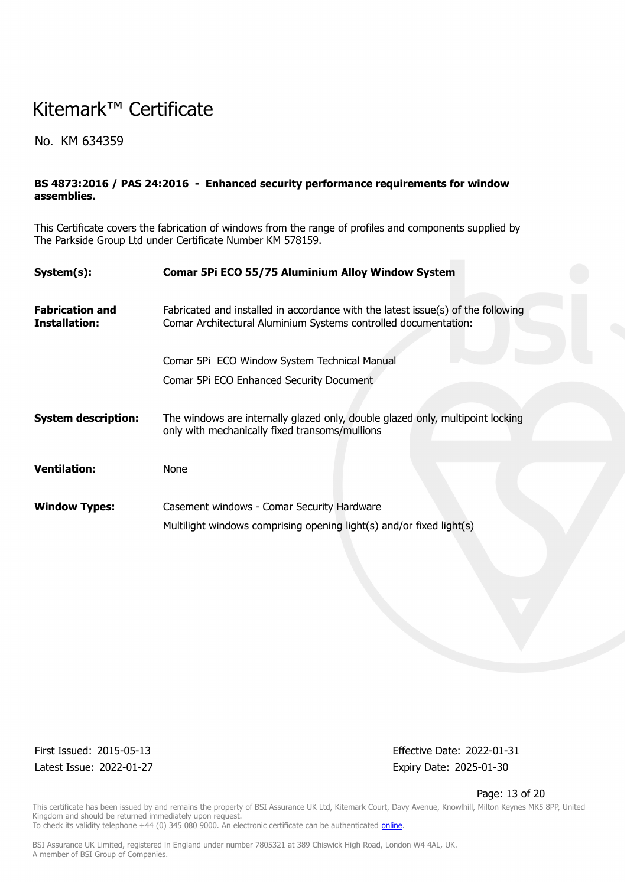No. KM 634359

### **BS 4873:2016 / PAS 24:2016 - Enhanced security performance requirements for window assemblies.**

This Certificate covers the fabrication of windows from the range of profiles and components supplied by The Parkside Group Ltd under Certificate Number KM 578159.

| System(s):                              | Comar 5Pi ECO 55/75 Aluminium Alloy Window System                                                                                                   |
|-----------------------------------------|-----------------------------------------------------------------------------------------------------------------------------------------------------|
| <b>Fabrication and</b><br>Installation: | Fabricated and installed in accordance with the latest issue(s) of the following<br>Comar Architectural Aluminium Systems controlled documentation: |
|                                         | Comar 5Pi ECO Window System Technical Manual                                                                                                        |
|                                         | Comar 5Pi ECO Enhanced Security Document                                                                                                            |
| <b>System description:</b>              | The windows are internally glazed only, double glazed only, multipoint locking<br>only with mechanically fixed transoms/mullions                    |
| <b>Ventilation:</b>                     | None                                                                                                                                                |
| <b>Window Types:</b>                    | Casement windows - Comar Security Hardware                                                                                                          |
|                                         | Multilight windows comprising opening light(s) and/or fixed light(s)                                                                                |

Latest Issue: 2022-01-27 Expiry Date: 2025-01-30

First Issued: 2015-05-13 Effective Date: 2022-01-31

#### Page: 13 of 20

This certificate has been issued by and remains the property of BSI Assurance UK Ltd, Kitemark Court, Davy Avenue, Knowlhill, Milton Keynes MK5 8PP, United Kingdom and should be returned immediately upon request. To check its validity telephone +44 (0) 345 080 9000. An electronic certificate can be authenticated *[online](https://pgplus.bsigroup.com/CertificateValidation/CertificateValidator.aspx?CertificateNumber=KM+634359&ReIssueDate=27%2f01%2f2022&Template=uk)*.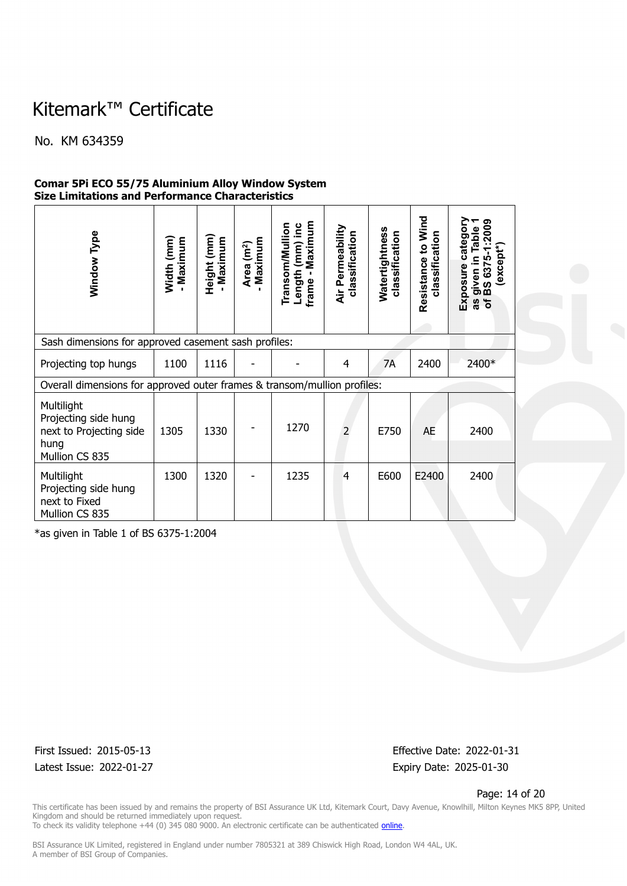No. KM 634359

### **Comar 5Pi ECO 55/75 Aluminium Alloy Window System Size Limitations and Performance Characteristics**

| Window Type                                                                             | Width (mm)<br>- Maximum | Height (mm)<br>- Maximum | Maximum<br>Area (m <sup>2</sup> ) | Maximum<br><b>Transom/Mullion</b><br>(mm) inc<br>Length<br>$\blacksquare$<br>frame | Air Permeability<br>classification | Watertightness<br>classification | Resistance to Wind<br>classification | Exposure category<br>ග<br>.200<br>Table<br>except*)<br>given in Ta<br>BS 6375-1:<br>৳<br>8g |
|-----------------------------------------------------------------------------------------|-------------------------|--------------------------|-----------------------------------|------------------------------------------------------------------------------------|------------------------------------|----------------------------------|--------------------------------------|---------------------------------------------------------------------------------------------|
| Sash dimensions for approved casement sash profiles:                                    |                         |                          |                                   |                                                                                    |                                    |                                  |                                      |                                                                                             |
| Projecting top hungs                                                                    | 1100                    | 1116                     |                                   |                                                                                    | 4                                  | 7A                               | 2400                                 | 2400*                                                                                       |
| Overall dimensions for approved outer frames & transom/mullion profiles:                |                         |                          |                                   |                                                                                    |                                    |                                  |                                      |                                                                                             |
| Multilight<br>Projecting side hung<br>next to Projecting side<br>hung<br>Mullion CS 835 | 1305                    | 1330                     |                                   | 1270                                                                               | $\overline{2}$                     | E750                             | <b>AE</b>                            | 2400                                                                                        |
| Multilight<br>Projecting side hung<br>next to Fixed<br>Mullion CS 835                   | 1300                    | 1320                     |                                   | 1235                                                                               | $\overline{4}$                     | E600                             | E2400                                | 2400                                                                                        |

\*as given in Table 1 of BS 6375-1:2004

Latest Issue: 2022-01-27 Expiry Date: 2025-01-30

First Issued: 2015-05-13 Effective Date: 2022-01-31

#### Page: 14 of 20

This certificate has been issued by and remains the property of BSI Assurance UK Ltd, Kitemark Court, Davy Avenue, Knowlhill, Milton Keynes MK5 8PP, United Kingdom and should be returned immediately upon request. To check its validity telephone +44 (0) 345 080 9000. An electronic certificate can be authenticated *[online](https://pgplus.bsigroup.com/CertificateValidation/CertificateValidator.aspx?CertificateNumber=KM+634359&ReIssueDate=27%2f01%2f2022&Template=uk)*.

BSI Assurance UK Limited, registered in England under number 7805321 at 389 Chiswick High Road, London W4 4AL, UK.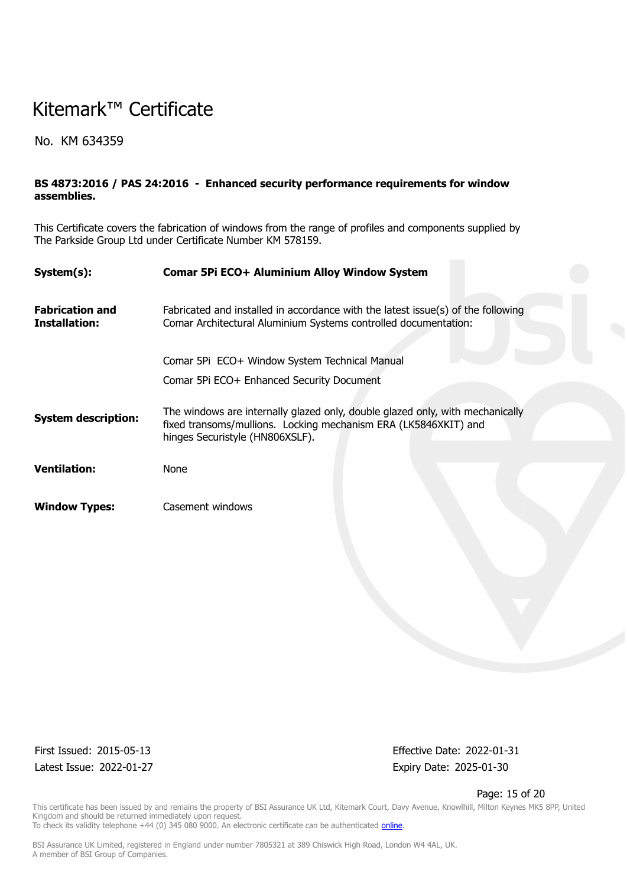No. KM 634359

### **BS 4873:2016 / PAS 24:2016 - Enhanced security performance requirements for window assemblies.**

This Certificate covers the fabrication of windows from the range of profiles and components supplied by The Parkside Group Ltd under Certificate Number KM 578159.

| System(s):                              | Comar 5Pi ECO+ Aluminium Alloy Window System                                                                                                                                        |
|-----------------------------------------|-------------------------------------------------------------------------------------------------------------------------------------------------------------------------------------|
| <b>Fabrication and</b><br>Installation: | Fabricated and installed in accordance with the latest issue(s) of the following<br>Comar Architectural Aluminium Systems controlled documentation:                                 |
|                                         | Comar 5Pi ECO+ Window System Technical Manual                                                                                                                                       |
|                                         | Comar 5Pi ECO+ Enhanced Security Document                                                                                                                                           |
| <b>System description:</b>              | The windows are internally glazed only, double glazed only, with mechanically<br>fixed transoms/mullions. Locking mechanism ERA (LK5846XKIT) and<br>hinges Securistyle (HN806XSLF). |
|                                         |                                                                                                                                                                                     |
| <b>Ventilation:</b>                     | None                                                                                                                                                                                |
| <b>Window Types:</b>                    | Casement windows                                                                                                                                                                    |

Latest Issue: 2022-01-27 Expiry Date: 2025-01-30

First Issued: 2015-05-13 Effective Date: 2022-01-31

#### Page: 15 of 20

This certificate has been issued by and remains the property of BSI Assurance UK Ltd, Kitemark Court, Davy Avenue, Knowlhill, Milton Keynes MK5 8PP, United Kingdom and should be returned immediately upon request. To check its validity telephone +44 (0) 345 080 9000. An electronic certificate can be authenticated *[online](https://pgplus.bsigroup.com/CertificateValidation/CertificateValidator.aspx?CertificateNumber=KM+634359&ReIssueDate=27%2f01%2f2022&Template=uk)*.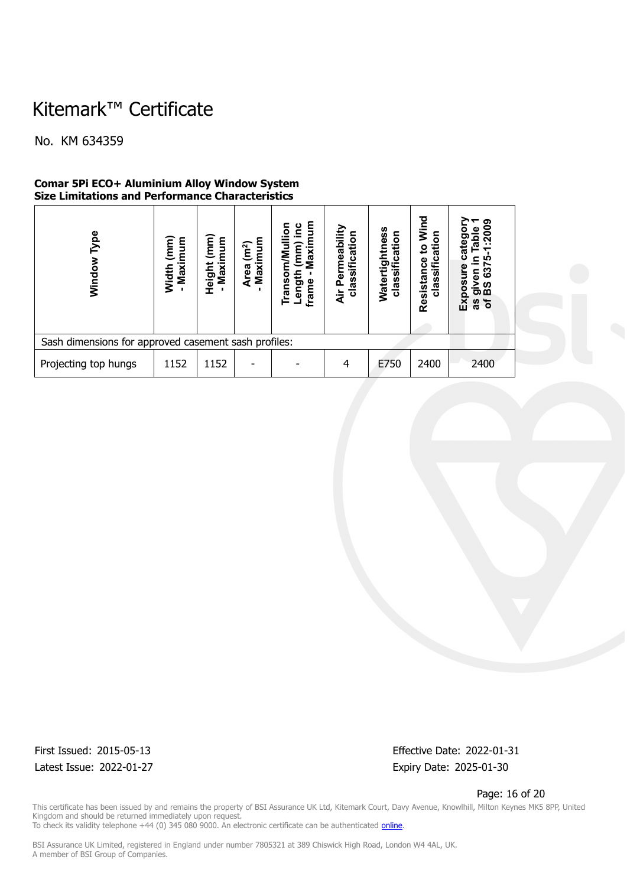No. KM 634359

#### **Comar 5Pi ECO+ Aluminium Alloy Window System Size Limitations and Performance Characteristics**

| pe<br>Windo                                          | ์<br>เลิศ<br>E<br>Maximum<br>Width | (mm)<br>Maximum<br>Height | Maximum<br>(m <sup>2</sup> )<br>Area | g<br><u>ت</u><br>⊒<br>ō<br>Maxim<br>mm)<br>₹<br>≧<br>unguə<br>rans<br>frame | Permeability<br>classification<br>ä | es<br>e<br>classification<br>្តា<br>Watert | Wind<br>ation<br>$\overline{5}$<br>Resistance<br>classific | ၈<br>.200<br>Table<br>categ<br>ഥ<br>ღ<br>အ<br>given<br>BS 63<br>nsoq<br>ΔŇ<br>as<br>of |
|------------------------------------------------------|------------------------------------|---------------------------|--------------------------------------|-----------------------------------------------------------------------------|-------------------------------------|--------------------------------------------|------------------------------------------------------------|----------------------------------------------------------------------------------------|
| Sash dimensions for approved casement sash profiles: |                                    |                           |                                      |                                                                             |                                     |                                            |                                                            |                                                                                        |
| Projecting top hungs                                 | 1152                               | 1152                      |                                      |                                                                             |                                     | E750                                       | 2400                                                       | 2400                                                                                   |

Latest Issue: 2022-01-27 Expiry Date: 2025-01-30

First Issued: 2015-05-13 Effective Date: 2022-01-31

Page: 16 of 20

This certificate has been issued by and remains the property of BSI Assurance UK Ltd, Kitemark Court, Davy Avenue, Knowlhill, Milton Keynes MK5 8PP, United Kingdom and should be returned immediately upon request. To check its validity telephone +44 (0) 345 080 9000. An electronic certificate can be authenticated *[online](https://pgplus.bsigroup.com/CertificateValidation/CertificateValidator.aspx?CertificateNumber=KM+634359&ReIssueDate=27%2f01%2f2022&Template=uk)*.

BSI Assurance UK Limited, registered in England under number 7805321 at 389 Chiswick High Road, London W4 4AL, UK.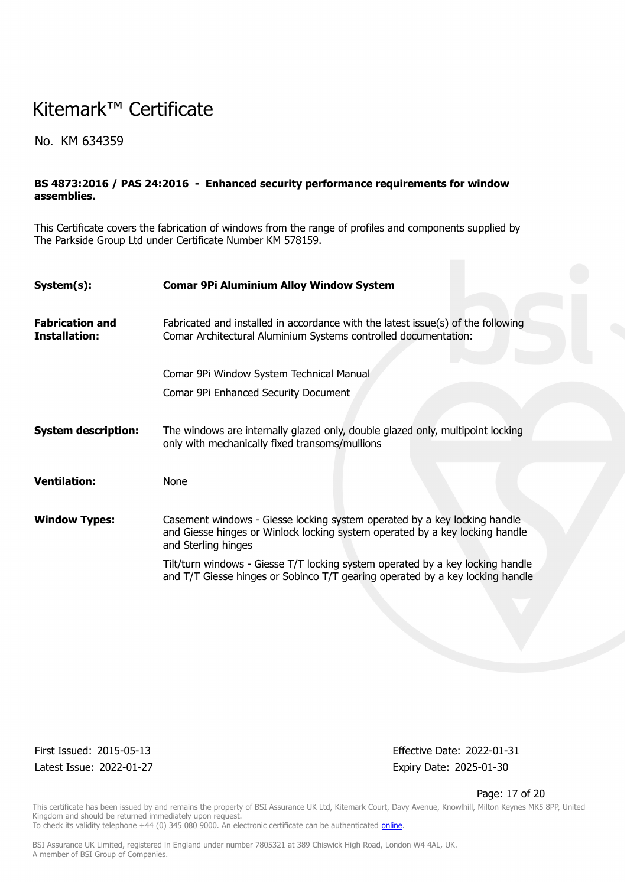No. KM 634359

### **BS 4873:2016 / PAS 24:2016 - Enhanced security performance requirements for window assemblies.**

This Certificate covers the fabrication of windows from the range of profiles and components supplied by The Parkside Group Ltd under Certificate Number KM 578159.

| System(s):                                     | <b>Comar 9Pi Aluminium Alloy Window System</b>                                                                                                                                   |  |  |  |  |  |  |  |
|------------------------------------------------|----------------------------------------------------------------------------------------------------------------------------------------------------------------------------------|--|--|--|--|--|--|--|
|                                                |                                                                                                                                                                                  |  |  |  |  |  |  |  |
| <b>Fabrication and</b><br><b>Installation:</b> | Fabricated and installed in accordance with the latest issue(s) of the following<br>Comar Architectural Aluminium Systems controlled documentation:                              |  |  |  |  |  |  |  |
|                                                |                                                                                                                                                                                  |  |  |  |  |  |  |  |
|                                                | Comar 9Pi Window System Technical Manual                                                                                                                                         |  |  |  |  |  |  |  |
|                                                | Comar 9Pi Enhanced Security Document                                                                                                                                             |  |  |  |  |  |  |  |
| <b>System description:</b>                     | The windows are internally glazed only, double glazed only, multipoint locking<br>only with mechanically fixed transoms/mullions                                                 |  |  |  |  |  |  |  |
| <b>Ventilation:</b>                            | None                                                                                                                                                                             |  |  |  |  |  |  |  |
| <b>Window Types:</b>                           | Casement windows - Giesse locking system operated by a key locking handle<br>and Giesse hinges or Winlock locking system operated by a key locking handle<br>and Sterling hinges |  |  |  |  |  |  |  |
|                                                | Tilt/turn windows - Giesse T/T locking system operated by a key locking handle<br>and T/T Giesse hinges or Sobinco T/T gearing operated by a key locking handle                  |  |  |  |  |  |  |  |

Latest Issue: 2022-01-27 Expiry Date: 2025-01-30

First Issued: 2015-05-13 Effective Date: 2022-01-31

Page: 17 of 20

This certificate has been issued by and remains the property of BSI Assurance UK Ltd, Kitemark Court, Davy Avenue, Knowlhill, Milton Keynes MK5 8PP, United Kingdom and should be returned immediately upon request. To check its validity telephone +44 (0) 345 080 9000. An electronic certificate can be authenticated *[online](https://pgplus.bsigroup.com/CertificateValidation/CertificateValidator.aspx?CertificateNumber=KM+634359&ReIssueDate=27%2f01%2f2022&Template=uk)*.

BSI Assurance UK Limited, registered in England under number 7805321 at 389 Chiswick High Road, London W4 4AL, UK.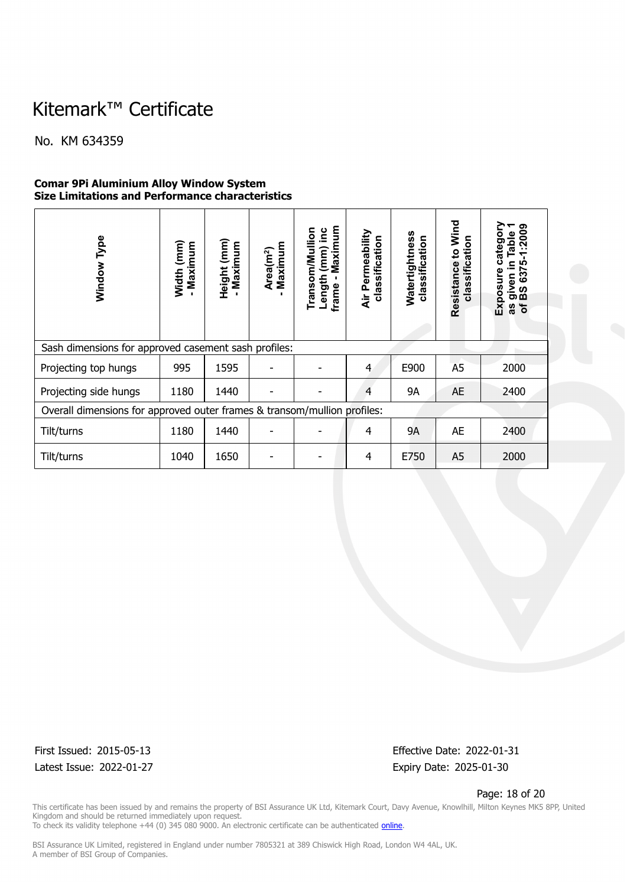No. KM 634359

### **Comar 9Pi Aluminium Alloy Window System Size Limitations and Performance characteristics**

| Type<br>Window                                                           | Width (mm)<br>Maximum | $(\mathsf{mm})$<br>- Maximum<br>Height | Maximum<br>Area(m <sup>2</sup> ) | Maximum<br>Transom/Mullion<br>(mm) inc<br>Length<br>frame | Air Permeability<br>classification | Watertightness<br>classification | Wind<br>classification<br>Resistance to | ග<br>1:200<br>Table<br>catego<br>르.<br><b>LO</b><br>637<br>Exposure<br>given<br>BS 637<br>$\mathbf{b}$<br>8g |
|--------------------------------------------------------------------------|-----------------------|----------------------------------------|----------------------------------|-----------------------------------------------------------|------------------------------------|----------------------------------|-----------------------------------------|--------------------------------------------------------------------------------------------------------------|
| Sash dimensions for approved casement sash profiles:                     |                       |                                        |                                  |                                                           |                                    |                                  |                                         |                                                                                                              |
| Projecting top hungs                                                     | 995                   | 1595                                   |                                  |                                                           | 4                                  | E900                             | A <sub>5</sub>                          | 2000                                                                                                         |
| Projecting side hungs                                                    | 1180                  | 1440                                   |                                  |                                                           | 4                                  | <b>9A</b>                        | <b>AE</b>                               | 2400                                                                                                         |
| Overall dimensions for approved outer frames & transom/mullion profiles: |                       |                                        |                                  |                                                           |                                    |                                  |                                         |                                                                                                              |
| Tilt/turns                                                               | 1180                  | 1440                                   |                                  |                                                           | 4                                  | <b>9A</b>                        | AE                                      | 2400                                                                                                         |
| Tilt/turns                                                               | 1040                  | 1650                                   |                                  |                                                           | 4                                  | E750                             | A <sub>5</sub>                          | 2000                                                                                                         |

Latest Issue: 2022-01-27 Expiry Date: 2025-01-30

First Issued: 2015-05-13 Effective Date: 2022-01-31

Page: 18 of 20

This certificate has been issued by and remains the property of BSI Assurance UK Ltd, Kitemark Court, Davy Avenue, Knowlhill, Milton Keynes MK5 8PP, United Kingdom and should be returned immediately upon request. To check its validity telephone +44 (0) 345 080 9000. An electronic certificate can be authenticated *[online](https://pgplus.bsigroup.com/CertificateValidation/CertificateValidator.aspx?CertificateNumber=KM+634359&ReIssueDate=27%2f01%2f2022&Template=uk)*.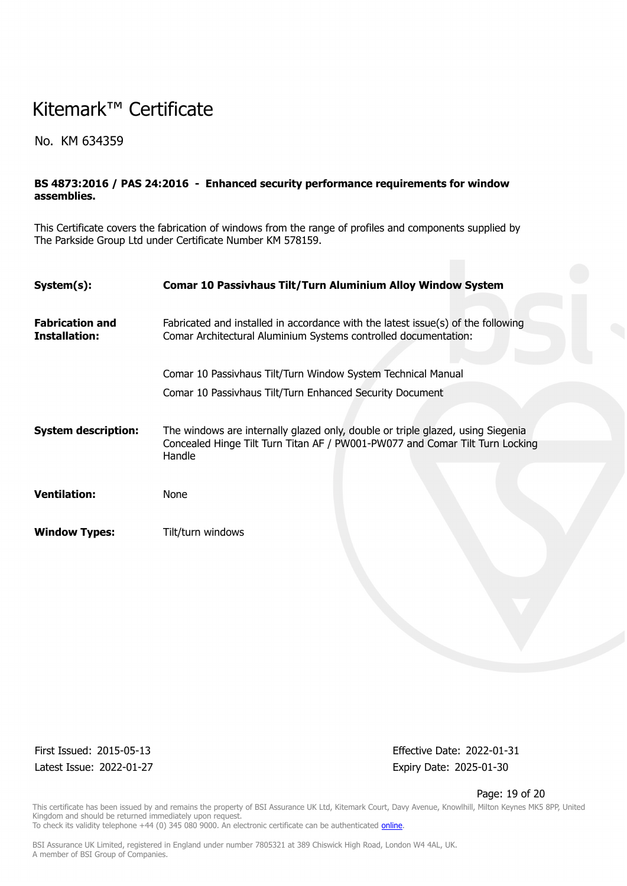No. KM 634359

### **BS 4873:2016 / PAS 24:2016 - Enhanced security performance requirements for window assemblies.**

This Certificate covers the fabrication of windows from the range of profiles and components supplied by The Parkside Group Ltd under Certificate Number KM 578159.

| System(s):                              | <b>Comar 10 Passivhaus Tilt/Turn Aluminium Alloy Window System</b>                                                                                                        |
|-----------------------------------------|---------------------------------------------------------------------------------------------------------------------------------------------------------------------------|
|                                         |                                                                                                                                                                           |
| <b>Fabrication and</b><br>Installation: | Fabricated and installed in accordance with the latest issue(s) of the following<br>Comar Architectural Aluminium Systems controlled documentation:                       |
|                                         | Comar 10 Passivhaus Tilt/Turn Window System Technical Manual                                                                                                              |
|                                         | Comar 10 Passivhaus Tilt/Turn Enhanced Security Document                                                                                                                  |
| <b>System description:</b>              | The windows are internally glazed only, double or triple glazed, using Siegenia<br>Concealed Hinge Tilt Turn Titan AF / PW001-PW077 and Comar Tilt Turn Locking<br>Handle |
| <b>Ventilation:</b>                     | None                                                                                                                                                                      |
| <b>Window Types:</b>                    | Tilt/turn windows                                                                                                                                                         |

Latest Issue: 2022-01-27 Expiry Date: 2025-01-30

First Issued: 2015-05-13 Effective Date: 2022-01-31

#### Page: 19 of 20

This certificate has been issued by and remains the property of BSI Assurance UK Ltd, Kitemark Court, Davy Avenue, Knowlhill, Milton Keynes MK5 8PP, United Kingdom and should be returned immediately upon request. To check its validity telephone +44 (0) 345 080 9000. An electronic certificate can be authenticated *[online](https://pgplus.bsigroup.com/CertificateValidation/CertificateValidator.aspx?CertificateNumber=KM+634359&ReIssueDate=27%2f01%2f2022&Template=uk)*.